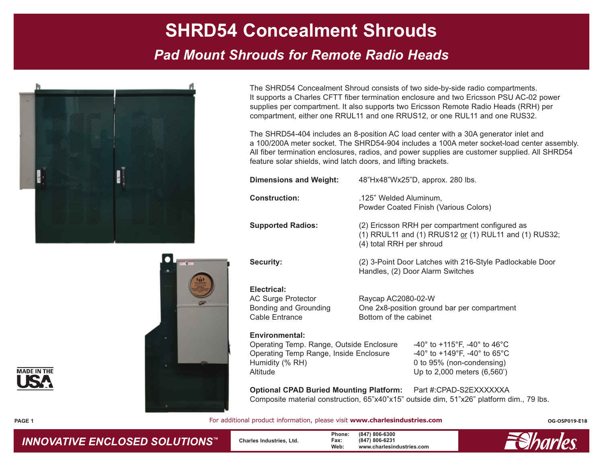# **SHRD54 Concealment Shrouds**

## *Pad Mount Shrouds for Remote Radio Heads*



The SHRD54 Concealment Shroud consists of two side-by-side radio compartments. It supports a Charles CFTT fiber termination enclosure and two Ericsson PSU AC-02 power supplies per compartment. It also supports two Ericsson Remote Radio Heads (RRH) per compartment, either one RRUL11 and one RRUS12, or one RUL11 and one RUS32.

The SHRD54-404 includes an 8-position AC load center with a 30A generator inlet and a 100/200A meter socket. The SHRD54-904 includes a 100A meter socket-load center assembly. All fiber termination enclosures, radios, and power supplies are customer supplied. All SHRD54 feature solar shields, wind latch doors, and lifting brackets.

| <b>Dimensions and Weight:</b>                                                                                                              | 48"Hx48"Wx25"D, approx. 280 lbs.                                                                                                                                                                         |  |  |  |  |
|--------------------------------------------------------------------------------------------------------------------------------------------|----------------------------------------------------------------------------------------------------------------------------------------------------------------------------------------------------------|--|--|--|--|
| <b>Construction:</b>                                                                                                                       | .125" Welded Aluminum,<br>Powder Coated Finish (Various Colors)                                                                                                                                          |  |  |  |  |
| <b>Supported Radios:</b>                                                                                                                   | (2) Ericsson RRH per compartment configured as<br>(1) RRUL11 and (1) RRUS12 or (1) RUL11 and (1) RUS32;<br>(4) total RRH per shroud                                                                      |  |  |  |  |
| <b>Security:</b>                                                                                                                           | (2) 3-Point Door Latches with 216-Style Padlockable Door<br>Handles, (2) Door Alarm Switches                                                                                                             |  |  |  |  |
| Electrical:<br><b>AC Surge Protector</b><br>Bonding and Grounding<br>Cable Entrance                                                        | Raycap AC2080-02-W<br>One 2x8-position ground bar per compartment<br>Bottom of the cabinet                                                                                                               |  |  |  |  |
| <b>Environmental:</b><br>Operating Temp. Range, Outside Enclosure<br>Operating Temp Range, Inside Enclosure<br>Humidity (% RH)<br>Altitude | $-40^{\circ}$ to $+115^{\circ}$ F, $-40^{\circ}$ to $46^{\circ}$ C<br>-40 $^{\circ}$ to +149 $^{\circ}$ F, -40 $^{\circ}$ to 65 $^{\circ}$ C<br>0 to 95% (non-condensing)<br>Up to 2,000 meters (6,560') |  |  |  |  |

**Optional CPAD Buried Mounting Platform:** Part #:CPAD-S2EXXXXXXA Composite material construction, 65"x40"x15" outside dim, 51"x26" platform dim., 79 lbs.

For additional product information, please visit www.charlesindustries.com **Department Constantine Cospone**rs



**PAGE 1**



*INNOVATIVE ENCLOSED SOLUTIONS ™*

**Charles Industries, Ltd.**

**Phone: (847) 806-6300 Fax: (847) 806-6231 Web: www.charlesindustries.com**